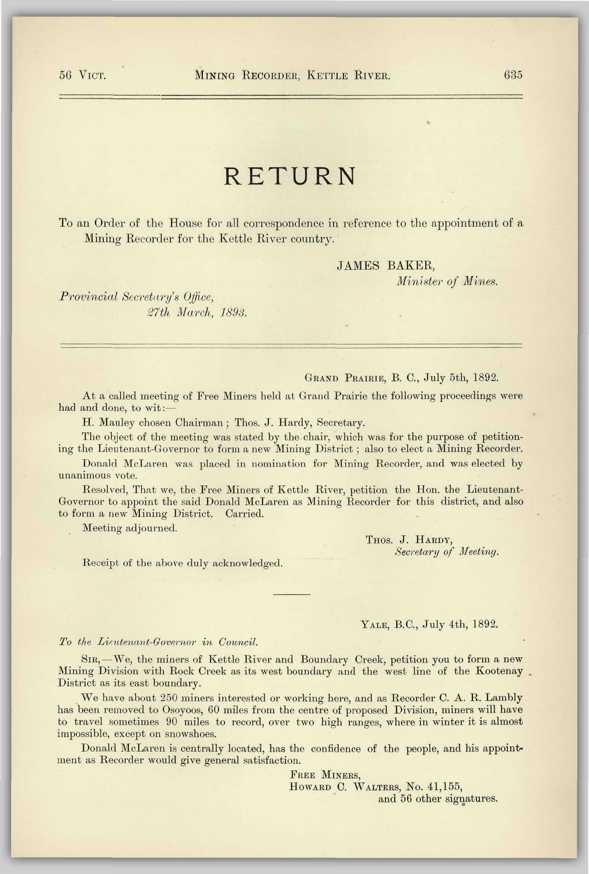# RETURN

To an Order of the House for all correspondence in reference to the appointment of a Mining Recorder for the Kettle River country.

# JAMES BAKER,

*Minister of Mines.* 

*Provincial Secretary's Office, 27th March, 1893.* 

# GRAND PRAIRIE, B. C, July 5th, 1892.

At a called meeting of Free Miners held at Grand Prairie the following proceedings were had and done, to wit:—

H. Mauley chosen Chairman; Thos. J. Hardy, Secretary.

The object of the meeting was stated by the chair, which was for the purpose of petitioning the Lieutenant-Governor to form a new Mining District ; also to elect a Mining Recorder.

Donald McLaren was placed in nomination for Mining Recorder, and was elected by unanimous vote.

Resolved, That we, the Free Miners of Kettle River, petition the Hon. the Lieutenant-Governor to appoint the said Donald McLaren as Mining Recorder for this district, and also to form a new Mining District. Carried.

Meeting adjourned.

THOS. J. HARDY, *Secretary of Meeting.* 

Receipt of the above duly acknowledged.

#### YALE, B.C., July 4th, 1892.

#### *To the Lieutenant-Governor in Council.*

SIR,—We, the miners of Kettle River and Boundary Creek, petition you to form a new Mining Division with Rock Creek as its west boundary and the west line of the Kootenay District as its east boundary.

We have about 250 miners interested or working here, and as Recorder C. A. R. Lambly has been removed to Osoyoos, 60 miles from the centre of proposed Division, miners will have to travel sometimes 90 miles to record, over two high ranges, where in winter it is almost impossible, except on snowshoes.

Donald McLaren is centrally located, has the confidence of the people, and his appointment as Recorder would give general satisfaction.

> FREE MINERS, HOWARD C. WALTERS, NO. 41,155, and 56 other signatures.